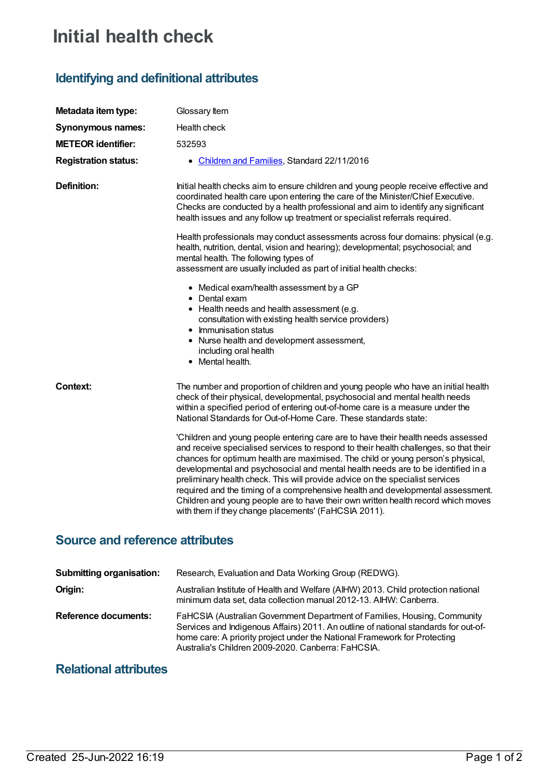# **Initial health check**

# **Identifying and definitional attributes**

| Metadata item type:         | Glossary Item                                                                                                                                                                                                                                                                                                                                                                                                                                                                                                                                                                                                                                                     |
|-----------------------------|-------------------------------------------------------------------------------------------------------------------------------------------------------------------------------------------------------------------------------------------------------------------------------------------------------------------------------------------------------------------------------------------------------------------------------------------------------------------------------------------------------------------------------------------------------------------------------------------------------------------------------------------------------------------|
| <b>Synonymous names:</b>    | Health check                                                                                                                                                                                                                                                                                                                                                                                                                                                                                                                                                                                                                                                      |
| <b>METEOR identifier:</b>   | 532593                                                                                                                                                                                                                                                                                                                                                                                                                                                                                                                                                                                                                                                            |
| <b>Registration status:</b> | • Children and Families, Standard 22/11/2016                                                                                                                                                                                                                                                                                                                                                                                                                                                                                                                                                                                                                      |
| <b>Definition:</b>          | Initial health checks aim to ensure children and young people receive effective and<br>coordinated health care upon entering the care of the Minister/Chief Executive.<br>Checks are conducted by a health professional and aim to identify any significant<br>health issues and any follow up treatment or specialist referrals required.                                                                                                                                                                                                                                                                                                                        |
|                             | Health professionals may conduct assessments across four domains: physical (e.g.<br>health, nutrition, dental, vision and hearing); developmental; psychosocial; and<br>mental health. The following types of<br>assessment are usually included as part of initial health checks:                                                                                                                                                                                                                                                                                                                                                                                |
|                             | • Medical exam/health assessment by a GP<br>• Dental exam<br>• Health needs and health assessment (e.g.<br>consultation with existing health service providers)<br>• Immunisation status<br>• Nurse health and development assessment,<br>including oral health<br>• Mental health.                                                                                                                                                                                                                                                                                                                                                                               |
| Context:                    | The number and proportion of children and young people who have an initial health<br>check of their physical, developmental, psychosocial and mental health needs<br>within a specified period of entering out-of-home care is a measure under the<br>National Standards for Out-of-Home Care. These standards state:                                                                                                                                                                                                                                                                                                                                             |
|                             | 'Children and young people entering care are to have their health needs assessed<br>and receive specialised services to respond to their health challenges, so that their<br>chances for optimum health are maximised. The child or young person's physical,<br>developmental and psychosocial and mental health needs are to be identified in a<br>preliminary health check. This will provide advice on the specialist services<br>required and the timing of a comprehensive health and developmental assessment.<br>Children and young people are to have their own written health record which moves<br>with them if they change placements' (FaHCSIA 2011). |

### **Source and reference attributes**

| <b>Submitting organisation:</b> | Research, Evaluation and Data Working Group (REDWG).                                                                                                                                                                                                                                                |
|---------------------------------|-----------------------------------------------------------------------------------------------------------------------------------------------------------------------------------------------------------------------------------------------------------------------------------------------------|
| Origin:                         | Australian Institute of Health and Welfare (AIHW) 2013. Child protection national<br>minimum data set, data collection manual 2012-13. AlHW: Canberra.                                                                                                                                              |
| <b>Reference documents:</b>     | FaHCSIA (Australian Government Department of Families, Housing, Community<br>Services and Indigenous Affairs) 2011. An outline of national standards for out-of-<br>home care: A priority project under the National Framework for Protecting<br>Australia's Children 2009-2020. Canberra: FaHCSIA. |

## **Relational attributes**